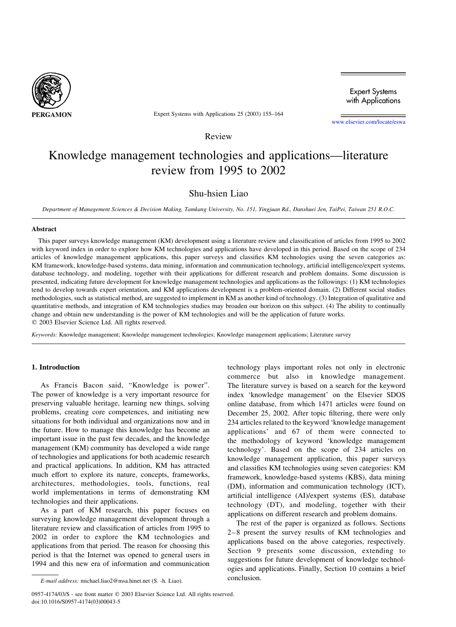

Expert Systems with Applications 25 (2003) 155–164

**Expert Systems** with Applications

Review

[www.elsevier.com/locate/eswa](http://www.elsevier.com/locate/eswa)

# Knowledge management technologies and applications—literature review from 1995 to 2002

# Shu-hsien Liao

Department of Management Sciences & Decision Making, Tamkang University, No. 151, Yingjuan Rd., Danshuei Jen, TaiPei, Taiwan 251 R.O.C.

#### Abstract

This paper surveys knowledge management (KM) development using a literature review and classification of articles from 1995 to 2002 with keyword index in order to explore how KM technologies and applications have developed in this period. Based on the scope of 234 articles of knowledge management applications, this paper surveys and classifies KM technologies using the seven categories as: KM framework, knowledge-based systems, data mining, information and communication technology, artificial intelligence/expert systems, database technology, and modeling, together with their applications for different research and problem domains. Some discussion is presented, indicating future development for knowledge management technologies and applications as the followings: (1) KM technologies tend to develop towards expert orientation, and KM applications development is a problem-oriented domain. (2) Different social studies methodologies, such as statistical method, are suggested to implement in KM as another kind of technology. (3) Integration of qualitative and quantitative methods, and integration of KM technologies studies may broaden our horizon on this subject. (4) The ability to continually change and obtain new understanding is the power of KM technologies and will be the application of future works.  $©$  2003 Elsevier Science Ltd. All rights reserved.

Keywords: Knowledge management; Knowledge management technologies; Knowledge management applications; Literature survey

#### 1. Introduction

As Francis Bacon said, "Knowledge is power". The power of knowledge is a very important resource for preserving valuable heritage, learning new things, solving problems, creating core competences, and initiating new situations for both individual and organizations now and in the future. How to manage this knowledge has become an important issue in the past few decades, and the knowledge management (KM) community has developed a wide range of technologies and applications for both academic research and practical applications. In addition, KM has attracted much effort to explore its nature, concepts, frameworks, architectures, methodologies, tools, functions, real world implementations in terms of demonstrating KM technologies and their applications.

As a part of KM research, this paper focuses on surveying knowledge management development through a literature review and classification of articles from 1995 to 2002 in order to explore the KM technologies and applications from that period. The reason for choosing this period is that the Internet was opened to general users in 1994 and this new era of information and communication

The rest of the paper is organized as follows. Sections 2–8 present the survey results of KM technologies and applications based on the above categories, respectively. Section 9 presents some discussion, extending to suggestions for future development of knowledge technologies and applications. Finally, Section 10 contains a brief conclusion.

technology plays important roles not only in electronic commerce but also in knowledge management. The literature survey is based on a search for the keyword index 'knowledge management' on the Elsevier SDOS online database, from which 1471 articles were found on December 25, 2002. After topic filtering, there were only 234 articles related to the keyword 'knowledge management applications' and 67 of them were connected to the methodology of keyword 'knowledge management technology'. Based on the scope of 234 articles on knowledge management application, this paper surveys and classifies KM technologies using seven categories: KM framework, knowledge-based systems (KBS), data mining (DM), information and communication technology (ICT), artificial intelligence (AI)/expert systems (ES), database technology (DT), and modeling, together with their applications on different research and problem domains.

E-mail address: michael.liao2@msa.hinet.net (S. -h. Liao).

<sup>0957-4174/03/\$ -</sup> see front matter © 2003 Elsevier Science Ltd. All rights reserved. doi:10.1016/S0957-4174(03)00043-5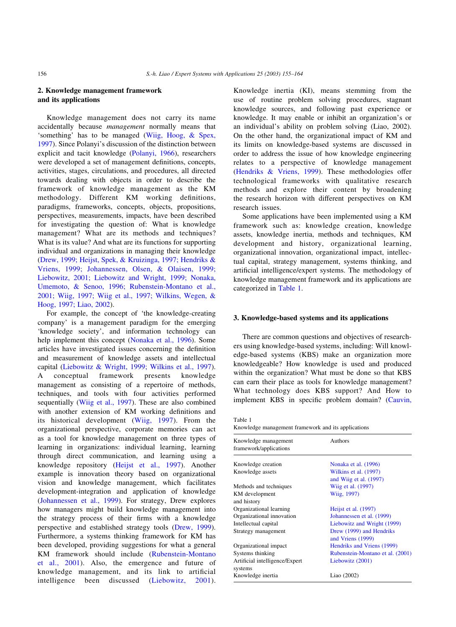## 2. Knowledge management framework and its applications

Knowledge management does not carry its name accidentally because management normally means that 'something' has to be managed [\(Wiig, Hoog, & Spex,](#page-9-0) [1997\)](#page-9-0). Since Polanyi's discussion of the distinction between explicit and tacit knowledge [\(Polanyi, 1966\)](#page-8-0), researchers were developed a set of management definitions, concepts, activities, stages, circulations, and procedures, all directed towards dealing with objects in order to describe the framework of knowledge management as the KM methodology. Different KM working definitions, paradigms, frameworks, concepts, objects, propositions, perspectives, measurements, impacts, have been described for investigating the question of: What is knowledge management? What are its methods and techniques? What is its value? And what are its functions for supporting individual and organizations in managing their knowledge ([Drew, 1999; Heijst, Spek, & Kruizinga, 1997; Hendriks &](#page-8-0) [Vriens, 1999; Johannessen, Olsen, & Olaisen, 1999;](#page-8-0) [Liebowitz, 2001; Liebowitz and Wright, 1999; Nonaka,](#page-8-0) [Umemoto, & Senoo, 1996; Rubenstein-Montano et al.,](#page-8-0) [2001; Wiig, 1997; Wiig et al., 1997; Wilkins, Wegen, &](#page-8-0) [Hoog, 1997; Liao, 2002\)](#page-8-0).

For example, the concept of 'the knowledge-creating company' is a management paradigm for the emerging 'knowledge society', and information technology can help implement this concept [\(Nonaka et al., 1996](#page-8-0)). Some articles have investigated issues concerning the definition and measurement of knowledge assets and intellectual capital ([Liebowitz & Wright, 1999; Wilkins et al., 1997\)](#page-9-0). A conceptual framework presents knowledge management as consisting of a repertoire of methods, techniques, and tools with four activities performed sequentially [\(Wiig et al., 1997](#page-9-0)). These are also combined with another extension of KM working definitions and its historical development ([Wiig, 1997\)](#page-9-0). From the organizational perspective, corporate memories can act as a tool for knowledge management on three types of learning in organizations: individual learning, learning through direct communication, and learning using a knowledge repository [\(Heijst et al., 1997\)](#page-8-0). Another example is innovation theory based on organizational vision and knowledge management, which facilitates development-integration and application of knowledge ([Johannessen et al., 1999](#page-8-0)). For strategy, Drew explores how managers might build knowledge management into the strategy process of their firms with a knowledge perspective and established strategy tools [\(Drew, 1999\)](#page-7-0). Furthermore, a systems thinking framework for KM has been developed, providing suggestions for what a general KM framework should include ([Rubenstein-Montano](#page-8-0) [et al., 2001\)](#page-8-0). Also, the emergence and future of knowledge management, and its link to artificial intelligence been discussed ([Liebowitz, 2001\)](#page-8-0).

Knowledge inertia (KI), means stemming from the use of routine problem solving procedures, stagnant knowledge sources, and following past experience or knowledge. It may enable or inhibit an organization's or an individual's ability on problem solving (Liao, 2002). On the other hand, the organizational impact of KM and its limits on knowledge-based systems are discussed in order to address the issue of how knowledge engineering relates to a perspective of knowledge management ([Hendriks & Vriens, 1999\)](#page-8-0). These methodologies offer technological frameworks with qualitative research methods and explore their content by broadening the research horizon with different perspectives on KM research issues.

Some applications have been implemented using a KM framework such as: knowledge creation, knowledge assets, knowledge inertia, methods and techniques, KM development and history, organizational learning, organizational innovation, organizational impact, intellectual capital, strategy management, systems thinking, and artificial intelligence/expert systems. The methodology of knowledge management framework and its applications are categorized in Table 1.

#### 3. Knowledge-based systems and its applications

There are common questions and objectives of researchers using knowledge-based systems, including: Will knowledge-based systems (KBS) make an organization more knowledgeable? How knowledge is used and produced within the organization? What must be done so that KBS can earn their place as tools for knowledge management? What technology does KBS support? And How to implement KBS in specific problem domain? [\(Cauvin,](#page-7-0)

| Table 1 |                                                     |  |  |  |
|---------|-----------------------------------------------------|--|--|--|
|         | Knowledge management framework and its applications |  |  |  |

| Knowledge management<br>framework/applications | Authors                                         |
|------------------------------------------------|-------------------------------------------------|
| Knowledge creation                             | Nonaka et al. (1996)                            |
| Knowledge assets                               | Wilkins et al. (1997)<br>and Wiig et al. (1997) |
| Methods and techniques                         | Wiig et al. (1997)                              |
| KM development<br>and history                  | Wiig, 1997)                                     |
| Organizational learning                        | Heijst et al. (1997)                            |
| Organizational innovation                      | Johannessen et al. (1999)                       |
| Intellectual capital                           | Liebowitz and Wright (1999)                     |
| Strategy management                            | Drew (1999) and Hendriks<br>and Vriens (1999)   |
| Organizational impact                          | Hendriks and Vriens (1999)                      |
| Systems thinking                               | Rubenstein-Montano et al. (2001)                |
| Artificial intelligence/Expert<br>systems      | Liebowitz (2001)                                |
| Knowledge inertia                              | Liao $(2002)$                                   |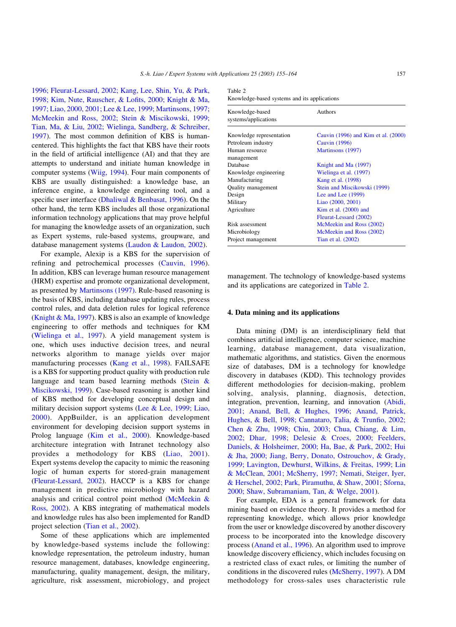[1996; Fleurat-Lessard, 2002; Kang, Lee, Shin, Yu, & Park,](#page-7-0) [1998; Kim, Nute, Rauscher, & Lofits, 2000; Knight & Ma,](#page-7-0) [1997; Liao, 2000, 2001; Lee & Lee, 1999; Martinsons, 1997;](#page-7-0) [McMeekin and Ross, 2002; Stein & Miscikowski, 1999;](#page-7-0) [Tian, Ma, & Liu, 2002; Wielinga, Sandberg, & Schreiber,](#page-7-0) [1997](#page-7-0)). The most common definition of KBS is humancentered. This highlights the fact that KBS have their roots in the field of artificial intelligence (AI) and that they are attempts to understand and initiate human knowledge in computer systems ([Wiig, 1994](#page-9-0)). Four main components of KBS are usually distinguished: a knowledge base, an inference engine, a knowledge engineering tool, and a specific user interface [\(Dhaliwal & Benbasat, 1996\)](#page-7-0). On the other hand, the term KBS includes all those organizational information technology applications that may prove helpful for managing the knowledge assets of an organization, such as Expert systems, rule-based systems, groupware, and database management systems [\(Laudon & Laudon, 2002\)](#page-8-0).

For example, Alexip is a KBS for the supervision of refining and petrochemical processes [\(Cauvin, 1996\)](#page-7-0). In addition, KBS can leverage human resource management (HRM) expertise and promote organizational development, as presented by [Martinsons \(1997\).](#page-8-0) Rule-based reasoning is the basis of KBS, including database updating rules, process control rules, and data deletion rules for logical reference (Knight  $& Ma, 1997$ ). KBS is also an example of knowledge engineering to offer methods and techniques for KM ([Wielinga et al., 1997](#page-9-0)). A yield management system is one, which uses inductive decision trees, and neural networks algorithm to manage yields over major manufacturing processes [\(Kang et al., 1998](#page-8-0)). FAILSAFE is a KBS for supporting product quality with production rule language and team based learning methods (Stein  $\&$ [Miscikowski, 1999\)](#page-9-0). Case-based reasoning is another kind of KBS method for developing conceptual design and military decision support systems [\(Lee & Lee, 1999; Liao,](#page-8-0) [2000\)](#page-8-0). AppBuilder, is an application development environment for developing decision support systems in Prolog language [\(Kim et al., 2000](#page-8-0)). Knowledge-based architecture integration with Intranet technology also provides a methodology for KBS ([Liao, 2001](#page-8-0)). Expert systems develop the capacity to mimic the reasoning logic of human experts for stored-grain management ([Fleurat-Lessard, 2002\)](#page-7-0). HACCP is a KBS for change management in predictive microbiology with hazard analysis and critical control point method ([McMeekin &](#page-8-0) [Ross, 2002\)](#page-8-0). A KBS integrating of mathematical models and knowledge rules has also been implemented for RandD project selection [\(Tian et al., 2002](#page-9-0)).

Some of these applications which are implemented by knowledge-based systems include the following: knowledge representation, the petroleum industry, human resource management, databases, knowledge engineering, manufacturing, quality management, design, the military, agriculture, risk assessment, microbiology, and project

#### Table 2

Knowledge-based systems and its applications

| Knowledge-based<br>systems/applications | Authors                                 |  |  |
|-----------------------------------------|-----------------------------------------|--|--|
| Knowledge representation                | Cauvin $(1996)$ and Kim et al. $(2000)$ |  |  |
| Petroleum industry                      | Cauvin (1996)                           |  |  |
| Human resource                          | Martinsons (1997)                       |  |  |
| management                              |                                         |  |  |
| Database                                | Knight and Ma (1997)                    |  |  |
| Knowledge engineering                   | Wielinga et al. (1997)                  |  |  |
| Manufacturing                           | Kang et al. (1998)                      |  |  |
| Quality management                      | Stein and Miscikowski (1999)            |  |  |
| Design                                  | Lee and Lee $(1999)$                    |  |  |
| Military                                | Liao (2000, 2001)                       |  |  |
| Agriculture                             | Kim et al. $(2000)$ and                 |  |  |
|                                         | Fleurat-Lessard (2002)                  |  |  |
| Risk assessment                         | McMeekin and Ross (2002)                |  |  |
| Microbiology                            | McMeekin and Ross (2002)                |  |  |
| Project management                      | Tian et al. (2002)                      |  |  |

management. The technology of knowledge-based systems and its applications are categorized in Table 2.

#### 4. Data mining and its applications

Data mining (DM) is an interdisciplinary field that combines artificial intelligence, computer science, machine learning, database management, data visualization, mathematic algorithms, and statistics. Given the enormous size of databases, DM is a technology for knowledge discovery in databases (KDD). This technology provides different methodologies for decision-making, problem solving, analysis, planning, diagnosis, detection, integration, prevention, learning, and innovation [\(Abidi,](#page-7-0) [2001; Anand, Bell, & Hughes, 1996; Anand, Patrick,](#page-7-0) [Hughes, & Bell, 1998; Cannataro, Talia, & Trunfio, 2002;](#page-7-0) [Chen & Zhu, 1998; Chiu, 2003; Chua, Chiang, & Lim,](#page-7-0) [2002; Dhar, 1998; Delesie & Croes, 2000; Feelders,](#page-7-0) [Daniels, & Holsheimer, 2000; Ha, Bae, & Park, 2002; Hui](#page-7-0) [& Jha, 2000; Jiang, Berry, Donato, Ostrouchov, & Grady,](#page-7-0) [1999; Lavington, Dewhurst, Wilkins, & Freitas, 1999; Lin](#page-7-0) [& McClean, 2001; McSherry, 1997; Nemati, Steiger, Iyer,](#page-7-0) [& Herschel, 2002; Park, Piramuthu, & Shaw, 2001; Sforna,](#page-7-0) [2000; Shaw, Subramaniam, Tan, & Welge, 2001\)](#page-7-0).

For example, EDA is a general framework for data mining based on evidence theory. It provides a method for representing knowledge, which allows prior knowledge from the user or knowledge discovered by another discovery process to be incorporated into the knowledge discovery process [\(Anand et al., 1996](#page-7-0)). An algorithm used to improve knowledge discovery efficiency, which includes focusing on a restricted class of exact rules, or limiting the number of conditions in the discovered rules ([McSherry, 1997\)](#page-8-0). A DM methodology for cross-sales uses characteristic rule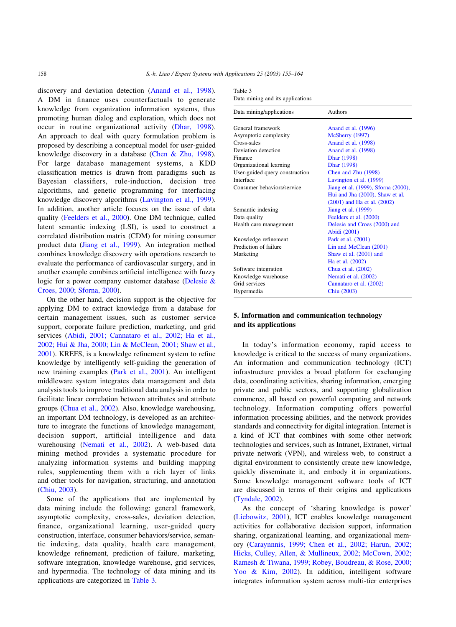discovery and deviation detection [\(Anand et al., 1998\)](#page-7-0). A DM in finance uses counterfactuals to generate knowledge from organization information systems, thus promoting human dialog and exploration, which does not occur in routine organizational activity [\(Dhar, 1998\)](#page-7-0). An approach to deal with query formulation problem is proposed by describing a conceptual model for user-guided knowledge discovery in a database [\(Chen & Zhu, 1998\)](#page-7-0). For large database management systems, a KDD classification metrics is drawn from paradigms such as Bayesian classifiers, rule-induction, decision tree algorithms, and genetic programming for interfacing knowledge discovery algorithms [\(Lavington et al., 1999\)](#page-8-0). In addition, another article focuses on the issue of data quality ([Feelders et al., 2000](#page-7-0)). One DM technique, called latent semantic indexing (LSI), is used to construct a correlated distribution matrix (CDM) for mining consumer product data [\(Jiang et al., 1999\)](#page-8-0). An integration method combines knowledge discovery with operations research to evaluate the performance of cardiovascular surgery, and in another example combines artificial intelligence with fuzzy logic for a power company customer database [\(Delesie &](#page-7-0) [Croes, 2000; Sforna, 2000](#page-7-0)).

On the other hand, decision support is the objective for applying DM to extract knowledge from a database for certain management issues, such as customer service support, corporate failure prediction, marketing, and grid services ([Abidi, 2001; Cannataro et al., 2002; Ha et al.,](#page-8-0) [2002; Hui & Jha, 2000; Lin & McClean, 2001; Shaw et al.,](#page-8-0) [2001\)](#page-8-0). KREFS, is a knowledge refinement system to refine knowledge by intelligently self-guiding the generation of new training examples [\(Park et al., 2001\)](#page-8-0). An intelligent middleware system integrates data management and data analysis tools to improve traditional data analysis in order to facilitate linear correlation between attributes and attribute groups [\(Chua et al., 2002](#page-7-0)). Also, knowledge warehousing, an important DM technology, is developed as an architecture to integrate the functions of knowledge management, decision support, artificial intelligence and data warehousing [\(Nemati et al., 2002\)](#page-8-0). A web-based data mining method provides a systematic procedure for analyzing information systems and building mapping rules, supplementing them with a rich layer of links and other tools for navigation, structuring, and annotation ([Chiu, 2003\)](#page-7-0).

Some of the applications that are implemented by data mining include the following: general framework, asymptotic complexity, cross-sales, deviation detection, finance, organizational learning, user-guided query construction, interface, consumer behaviors/service, semantic indexing, data quality, health care management, knowledge refinement, prediction of failure, marketing, software integration, knowledge warehouse, grid services, and hypermedia. The technology of data mining and its applications are categorized in Table 3.

| ,,,,<br>×<br>٧ |  |
|----------------|--|
|----------------|--|

Data mining and its applications

| Data mining/applications       | Authors                             |
|--------------------------------|-------------------------------------|
| General framework              | Anand et al. (1996)                 |
| Asymptotic complexity          | McSherry (1997)                     |
| Cross-sales                    | Anand et al. (1998)                 |
| Deviation detection            | Anand et al. (1998)                 |
| Finance                        | Dhar (1998)                         |
| Organizational learning        | Dhar (1998)                         |
| User-guided query construction | Chen and Zhu (1998)                 |
| Interface                      | Lavington et al. (1999)             |
| Consumer behaviors/service     | Jiang et al. (1999), Sforna (2000), |
|                                | Hui and Jha (2000), Shaw et al.     |
|                                | $(2001)$ and Ha et al. $(2002)$     |
| Semantic indexing              | Jiang et al. (1999)                 |
| Data quality                   | Feelders et al. (2000)              |
| Health care management         | Delesie and Croes (2000) and        |
|                                | Abidi (2001)                        |
| Knowledge refinement           | Park et al. (2001)                  |
| Prediction of failure          | Lin and McClean (2001)              |
| Marketing                      | Shaw et al. (2001) and              |
|                                | Ha et al. (2002)                    |
| Software integration           | Chua et al. (2002)                  |
| Knowledge warehouse            | Nemati et al. (2002)                |
| Grid services                  | Cannataro et al. (2002)             |
| Hypermedia                     | Chiu (2003)                         |
|                                |                                     |

# 5. Information and communication technology and its applications

In today's information economy, rapid access to knowledge is critical to the success of many organizations. An information and communication technology (ICT) infrastructure provides a broad platform for exchanging data, coordinating activities, sharing information, emerging private and public sectors, and supporting globalization commerce, all based on powerful computing and network technology. Information computing offers powerful information processing abilities, and the network provides standards and connectivity for digital integration. Internet is a kind of ICT that combines with some other network technologies and services, such as Intranet, Extranet, virtual private network (VPN), and wireless web, to construct a digital environment to consistently create new knowledge, quickly disseminate it, and embody it in organizations. Some knowledge management software tools of ICT are discussed in terms of their origins and applications ([Tyndale, 2002](#page-9-0)).

As the concept of 'sharing knowledge is power' ([Liebowitz, 2001](#page-8-0)), ICT enables knowledge management activities for collaborative decision support, information sharing, organizational learning, and organizational memory [\(Caraynnnis, 1999; Chen et al., 2002; Harun, 2002;](#page-8-0) [Hicks, Culley, Allen, & Mullineux, 2002; McCown, 2002;](#page-8-0) [Ramesh & Tiwana, 1999; Robey, Boudreau, & Rose, 2000;](#page-8-0) [Yoo & Kim, 2002](#page-8-0)). In addition, intelligent software integrates information system across multi-tier enterprises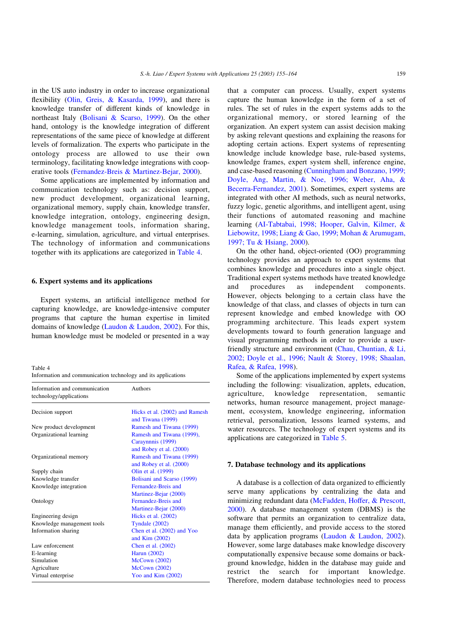in the US auto industry in order to increase organizational flexibility [\(Olin, Greis, & Kasarda, 1999\)](#page-8-0), and there is knowledge transfer of different kinds of knowledge in northeast Italy ([Bolisani & Scarso, 1999\)](#page-7-0). On the other hand, ontology is the knowledge integration of different representations of the same piece of knowledge at different levels of formalization. The experts who participate in the ontology process are allowed to use their own terminology, facilitating knowledge integrations with cooperative tools ([Fernandez-Breis & Martinez-Bejar, 2000](#page-7-0)).

Some applications are implemented by information and communication technology such as: decision support, new product development, organizational learning, organizational memory, supply chain, knowledge transfer, knowledge integration, ontology, engineering design, knowledge management tools, information sharing, e-learning, simulation, agriculture, and virtual enterprises. The technology of information and communications together with its applications are categorized in Table 4.

#### 6. Expert systems and its applications

Expert systems, an artificial intelligence method for capturing knowledge, are knowledge-intensive computer programs that capture the human expertise in limited domains of knowledge [\(Laudon & Laudon, 2002\)](#page-8-0). For this, human knowledge must be modeled or presented in a way

Table 4 Information and communication technology and its applications

| Information and communication<br>technology/applications | <b>Authors</b>                                                            |
|----------------------------------------------------------|---------------------------------------------------------------------------|
| Decision support                                         | Hicks et al. (2002) and Ramesh<br>and Tiwana (1999)                       |
| New product development                                  | Ramesh and Tiwana (1999)                                                  |
| Organizational learning                                  | Ramesh and Tiwana (1999),<br>Caraynnnis (1999)<br>and Robey et al. (2000) |
| Organizational memory                                    | Ramesh and Tiwana (1999)<br>and Robey et al. (2000)                       |
| Supply chain                                             | Olin et al. (1999)                                                        |
| Knowledge transfer                                       | Bolisani and Scarso (1999)                                                |
| Knowledge integration                                    | Fernandez-Breis and<br>Martinez-Bejar (2000)                              |
| Ontology                                                 | Fernandez-Breis and<br>Martinez-Bejar (2000)                              |
| Engineering design                                       | Hicks et al. $(2002)$                                                     |
| Knowledge management tools                               | Tyndale $(2002)$                                                          |
| Information sharing                                      | Chen et al. (2002) and Yoo<br>and Kim $(2002)$                            |
| Law enforcement                                          | Chen et al. (2002)                                                        |
| E-learning                                               | Harun (2002)                                                              |
| Simulation                                               | McCown (2002)                                                             |
| Agriculture                                              | McCown (2002)                                                             |
| Virtual enterprise                                       | Yoo and Kim $(2002)$                                                      |

that a computer can process. Usually, expert systems capture the human knowledge in the form of a set of rules. The set of rules in the expert systems adds to the organizational memory, or stored learning of the organization. An expert system can assist decision making by asking relevant questions and explaining the reasons for adopting certain actions. Expert systems of representing knowledge include knowledge base, rule-based systems, knowledge frames, expert system shell, inference engine, and case-based reasoning ([Cunningham and Bonzano, 1999;](#page-7-0) [Doyle, Ang, Martin, & Noe, 1996; Weber, Aha, &](#page-7-0) [Becerra-Fernandez, 2001\)](#page-7-0). Sometimes, expert systems are integrated with other AI methods, such as neural networks, fuzzy logic, genetic algorithms, and intelligent agent, using their functions of automated reasoning and machine learning [\(AI-Tabtabai, 1998; Hooper, Galvin, Kilmer, &](#page-8-0) [Liebowitz, 1998; Liang & Gao, 1999; Mohan & Arumugam,](#page-8-0) [1997; Tu & Hsiang, 2000\)](#page-8-0).

On the other hand, object-oriented (OO) programming technology provides an approach to expert systems that combines knowledge and procedures into a single object. Traditional expert systems methods have treated knowledge and procedures as independent components. However, objects belonging to a certain class have the knowledge of that class, and classes of objects in turn can represent knowledge and embed knowledge with OO programming architecture. This leads expert system developments toward to fourth generation language and visual programming methods in order to provide a user-friendly structure and environment [\(Chau, Chuntian, & Li,](#page-7-0) [2002; Doyle et al., 1996; Nault & Storey, 1998; Shaalan,](#page-7-0) [Rafea, & Rafea, 1998](#page-7-0)).

Some of the applications implemented by expert systems including the following: visualization, applets, education, agriculture, knowledge representation, semantic networks, human resource management, project management, ecosystem, knowledge engineering, information retrieval, personalization, lessons learned systems, and water resources. The technology of expert systems and its applications are categorized in [Table 5](#page-5-0).

#### 7. Database technology and its applications

A database is a collection of data organized to efficiently serve many applications by centralizing the data and minimizing redundant data [\(McFadden, Hoffer, & Prescott,](#page-8-0) [2000](#page-8-0)). A database management system (DBMS) is the software that permits an organization to centralize data, manage them efficiently, and provide access to the stored data by application programs ([Laudon & Laudon, 2002\)](#page-8-0). However, some large databases make knowledge discovery computationally expensive because some domains or background knowledge, hidden in the database may guide and restrict the search for important knowledge. Therefore, modern database technologies need to process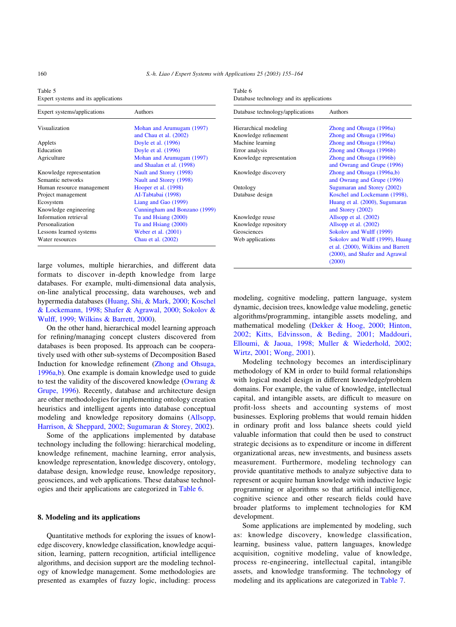#### <span id="page-5-0"></span>160 S.-h. Liao / Expert Systems with Applications 25 (2003) 155–164

| Table 5                             |  |  |
|-------------------------------------|--|--|
| Expert systems and its applications |  |  |

| Expert systems/applications | Authors                                                |  |
|-----------------------------|--------------------------------------------------------|--|
| Visualization               | Mohan and Arumugam (1997)<br>and Chau et al. (2002)    |  |
| Applets                     | Doyle et al. (1996)                                    |  |
| Education                   | Doyle et al. (1996)                                    |  |
| Agriculture                 | Mohan and Arumugam (1997)<br>and Shaalan et al. (1998) |  |
| Knowledge representation    | Nault and Storey (1998)                                |  |
| Semantic networks           | Nault and Storey (1998)                                |  |
| Human resource management   | Hooper et al. (1998)                                   |  |
| Project management          | AI-Tabtabai (1998)                                     |  |
| Ecosystem                   | Liang and Gao (1999)                                   |  |
| Knowledge engineering       | Cunningham and Bonzano (1999)                          |  |
| Information retrieval       | Tu and Hsiang $(2000)$                                 |  |
| Personalization             | Tu and Hsiang (2000)                                   |  |
| Lessons learned systems     | Weber et al. $(2001)$                                  |  |
| Water resources             | Chau et al. (2002)                                     |  |

large volumes, multiple hierarchies, and different data formats to discover in-depth knowledge from large databases. For example, multi-dimensional data analysis, on-line analytical processing, data warehouses, web and hypermedia databases ([Huang, Shi, & Mark, 2000; Koschel](#page-8-0) [& Lockemann, 1998; Shafer & Agrawal, 2000; Sokolov &](#page-8-0) [Wulff, 1999; Wilkins & Barrett, 2000](#page-8-0)).

On the other hand, hierarchical model learning approach for refining/managing concept clusters discovered from databases is been proposed. Its approach can be cooperatively used with other sub-systems of Decomposition Based Induction for knowledge refinement ([Zhong and Ohsuga,](#page-9-0) [1996a,b\)](#page-9-0). One example is domain knowledge used to guide to test the validity of the discovered knowledge (Owrang  $\&$ [Grupe, 1996](#page-8-0)). Recently, database and architecture design are other methodologies for implementing ontology creation heuristics and intelligent agents into database conceptual modeling and knowledge repository domains ([Allsopp,](#page-9-0) [Harrison, & Sheppard, 2002; Sugumaran & Storey, 2002\)](#page-9-0).

Some of the applications implemented by database technology including the following: hierarchical modeling, knowledge refinement, machine learning, error analysis, knowledge representation, knowledge discovery, ontology, database design, knowledge reuse, knowledge repository, geosciences, and web applications. These database technologies and their applications are categorized in Table 6.

#### 8. Modeling and its applications

Quantitative methods for exploring the issues of knowledge discovery, knowledge classification, knowledge acquisition, learning, pattern recognition, artificial intelligence algorithms, and decision support are the modeling technology of knowledge management. Some methodologies are presented as examples of fuzzy logic, including: process

| Fable |  |
|-------|--|
|-------|--|

Database technology and its applications

| Database technology/applications | Authors                            |
|----------------------------------|------------------------------------|
| Hierarchical modeling            | Zhong and Ohsuga (1996a)           |
| Knowledge refinement             | Zhong and Ohsuga (1996a)           |
| Machine learning                 | Zhong and Ohsuga (1996a)           |
| Error analysis                   | Zhong and Ohsuga (1996b)           |
| Knowledge representation         | Zhong and Ohsuga (1996b)           |
|                                  | and Owrang and Grupe (1996)        |
| Knowledge discovery              | Zhong and Ohsuga (1996a,b)         |
|                                  | and Owrang and Grupe (1996)        |
| Ontology                         | Sugumaran and Storey (2002)        |
| Database design                  | Koschel and Lockemann (1998),      |
|                                  | Huang et al. (2000), Sugumaran     |
|                                  | and Storey (2002)                  |
| Knowledge reuse                  | Allsopp et al. (2002)              |
| Knowledge repository             | Allsopp et al. (2002)              |
| Geosciences                      | Sokolov and Wulff (1999)           |
| Web applications                 | Sokolov and Wulff (1999), Huang    |
|                                  | et al. (2000), Wilkins and Barrett |
|                                  | (2000), and Shafer and Agrawal     |
|                                  | (2000)                             |
|                                  |                                    |

modeling, cognitive modeling, pattern language, system dynamic, decision trees, knowledge value modeling, genetic algorithms/programming, intangible assets modeling, and mathematical modeling ([Dekker & Hoog, 2000; Hinton,](#page-8-0) [2002; Kitts, Edvinsson, & Beding, 2001; Maddouri,](#page-8-0) [Elloumi, & Jaoua, 1998; Muller & Wiederhold, 2002;](#page-8-0) [Wirtz, 2001; Wong, 2001\)](#page-8-0).

Modeling technology becomes an interdisciplinary methodology of KM in order to build formal relationships with logical model design in different knowledge/problem domains. For example, the value of knowledge, intellectual capital, and intangible assets, are difficult to measure on profit-loss sheets and accounting systems of most businesses. Exploring problems that would remain hidden in ordinary profit and loss balance sheets could yield valuable information that could then be used to construct strategic decisions as to expenditure or income in different organizational areas, new investments, and business assets measurement. Furthermore, modeling technology can provide quantitative methods to analyze subjective data to represent or acquire human knowledge with inductive logic programming or algorithms so that artificial intelligence, cognitive science and other research fields could have broader platforms to implement technologies for KM development.

Some applications are implemented by modeling, such as: knowledge discovery, knowledge classification, learning, business value, pattern languages, knowledge acquisition, cognitive modeling, value of knowledge, process re-engineering, intellectual capital, intangible assets, and knowledge transforming. The technology of modeling and its applications are categorized in [Table 7.](#page-6-0)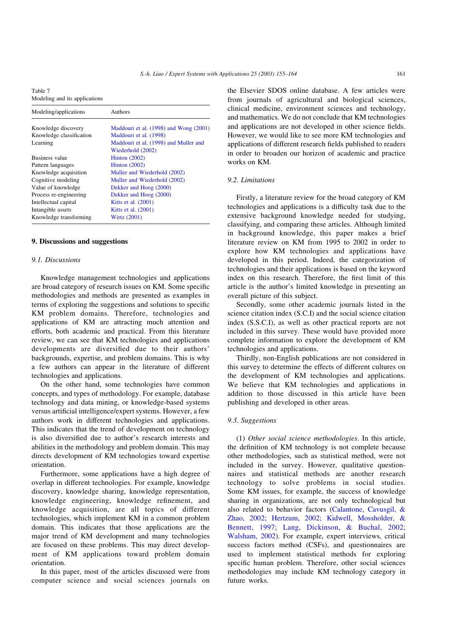<span id="page-6-0"></span>Table 7 Modeling and its applications

| Modeling/applications    | Authors                                |
|--------------------------|----------------------------------------|
| Knowledge discovery      | Maddouri et al. (1998) and Wong (2001) |
| Knowledge classification | Maddouri et al. (1998)                 |
| Learning                 | Maddouri et al. (1998) and Muller and  |
|                          | Wiederhold (2002)                      |
| Business value           | Hinton $(2002)$                        |
| Pattern languages        | Hinton $(2002)$                        |
| Knowledge acquisition    | Muller and Wiederhold (2002)           |
| Cognitive modeling       | Muller and Wiederhold (2002)           |
| Value of knowledge       | Dekker and Hoog (2000)                 |
| Process re-engineering   | Dekker and Hoog (2000)                 |
| Intellectual capital     | Kitts et al. $(2001)$                  |
| Intangible assets        | Kitts et al. (2001)                    |
| Knowledge transforming   | <b>Wirtz</b> (2001)                    |

#### 9. Discussions and suggestions

#### 9.1. Discussions

Knowledge management technologies and applications are broad category of research issues on KM. Some specific methodologies and methods are presented as examples in terms of exploring the suggestions and solutions to specific KM problem domains. Therefore, technologies and applications of KM are attracting much attention and efforts, both academic and practical. From this literature review, we can see that KM technologies and applications developments are diversified due to their authors' backgrounds, expertise, and problem domains. This is why a few authors can appear in the literature of different technologies and applications.

On the other hand, some technologies have common concepts, and types of methodology. For example, database technology and data mining, or knowledge-based systems versus artificial intelligence/expert systems. However, a few authors work in different technologies and applications. This indicates that the trend of development on technology is also diversified due to author's research interests and abilities in the methodology and problem domain. This may directs development of KM technologies toward expertise orientation.

Furthermore, some applications have a high degree of overlap in different technologies. For example, knowledge discovery, knowledge sharing, knowledge representation, knowledge engineering, knowledge refinement, and knowledge acquisition, are all topics of different technologies, which implement KM in a common problem domain. This indicates that those applications are the major trend of KM development and many technologies are focused on these problems. This may direct development of KM applications toward problem domain orientation.

In this paper, most of the articles discussed were from computer science and social sciences journals on the Elsevier SDOS online database. A few articles were from journals of agricultural and biological sciences, clinical medicine, environment sciences and technology, and mathematics. We do not conclude that KM technologies and applications are not developed in other science fields. However, we would like to see more KM technologies and applications of different research fields published to readers in order to broaden our horizon of academic and practice works on KM.

#### 9.2. Limitations

Firstly, a literature review for the broad category of KM technologies and applications is a difficulty task due to the extensive background knowledge needed for studying, classifying, and comparing these articles. Although limited in background knowledge, this paper makes a brief literature review on KM from 1995 to 2002 in order to explore how KM technologies and applications have developed in this period. Indeed, the categorization of technologies and their applications is based on the keyword index on this research. Therefore, the first limit of this article is the author's limited knowledge in presenting an overall picture of this subject.

Secondly, some other academic journals listed in the science citation index (S.C.I) and the social science citation index (S.S.C.I), as well as other practical reports are not included in this survey. These would have provided more complete information to explore the development of KM technologies and applications.

Thirdly, non-English publications are not considered in this survey to determine the effects of different cultures on the development of KM technologies and applications. We believe that KM technologies and applications in addition to those discussed in this article have been publishing and developed in other areas.

### 9.3. Suggestions

(1) Other social science methodologies. In this article, the definition of KM technology is not complete because other methodologies, such as statistical method, were not included in the survey. However, qualitative questionnaires and statistical methods are another research technology to solve problems in social studies. Some KM issues, for example, the success of knowledge sharing in organizations, are not only technological but also related to behavior factors [\(Calantone, Cavusgil, &](#page-8-0) [Zhao, 2002; Hertzum, 2002; Kidwell, Mossholder, &](#page-8-0) [Bennett, 1997; Lang, Dickinson, & Buchal, 2002;](#page-8-0) [Walsham, 2002](#page-8-0)). For example, expert interviews, critical success factors method (CSFs), and questionnaires are used to implement statistical methods for exploring specific human problem. Therefore, other social sciences methodologies may include KM technology category in future works.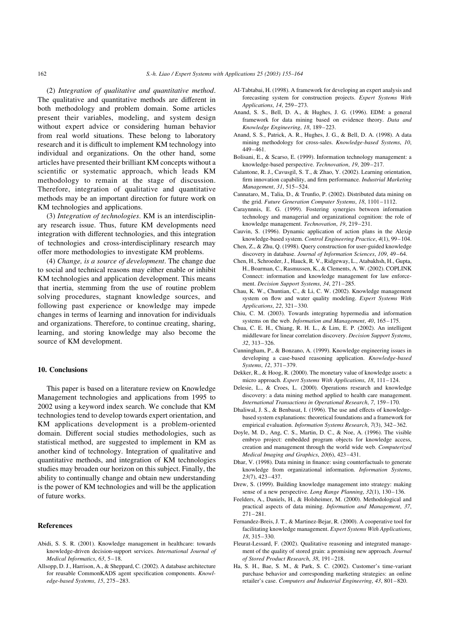<span id="page-7-0"></span>(2) Integration of qualitative and quantitative method. The qualitative and quantitative methods are different in both methodology and problem domain. Some articles present their variables, modeling, and system design without expert advice or considering human behavior from real world situations. These belong to laboratory research and it is difficult to implement KM technology into individual and organizations. On the other hand, some articles have presented their brilliant KM concepts without a scientific or systematic approach, which leads KM methodology to remain at the stage of discussion. Therefore, integration of qualitative and quantitative methods may be an important direction for future work on KM technologies and applications.

(3) Integration of technologies. KM is an interdisciplinary research issue. Thus, future KM developments need integration with different technologies, and this integration of technologies and cross-interdisciplinary research may offer more methodologies to investigate KM problems.

(4) Change, is a source of development. The change due to social and technical reasons may either enable or inhibit KM technologies and application development. This means that inertia, stemming from the use of routine problem solving procedures, stagnant knowledge sources, and following past experience or knowledge may impede changes in terms of learning and innovation for individuals and organizations. Therefore, to continue creating, sharing, learning, and storing knowledge may also become the source of KM development.

#### 10. Conclusions

This paper is based on a literature review on Knowledge Management technologies and applications from 1995 to 2002 using a keyword index search. We conclude that KM technologies tend to develop towards expert orientation, and KM applications development is a problem-oriented domain. Different social studies methodologies, such as statistical method, are suggested to implement in KM as another kind of technology. Integration of qualitative and quantitative methods, and integration of KM technologies studies may broaden our horizon on this subject. Finally, the ability to continually change and obtain new understanding is the power of KM technologies and will be the application of future works.

#### References

- Abidi, S. S. R. (2001). Knowledge management in healthcare: towards knowledge-driven decision-support services. International Journal of Medical Informatics, 63, 5–18.
- Allsopp, D. J., Harrison, A., & Sheppard, C. (2002). A database architecture for reusable CommonKADS agent specification components. Knowledge-based Systems, 15, 275–283.
- AI-Tabtabai, H. (1998). A framework for developing an expert analysis and forecasting system for construction projects. Expert Systems With Applications, 14, 259–273.
- Anand, S. S., Bell, D. A., & Hughes, J. G. (1996). EDM: a general framework for data mining based on evidence theory. Data and Knowledge Engineering, 18, 189–223.
- Anand, S. S., Patrick, A. R., Hughes, J. G., & Bell, D. A. (1998). A data mining methodology for cross-sales. Knowledge-based Systems, 10, 449–461.
- Bolisani, E., & Scarso, E. (1999). Information technology management: a knowledge-based perspective. Technovation, 19, 209–217.
- Calantone, R. J., Cavusgil, S. T., & Zhao, Y. (2002). Learning orientation, firm innovation capability, and firm performance. Industrial Marketing Management, 31, 515–524.
- Cannataro, M., Talia, D., & Trunfio, P. (2002). Distributed data mining on the grid. Future Generation Computer Systems, 18, 1101–1112.
- Caraynnnis, E. G. (1999). Fostering synergies between information technology and managerial and organizational cognition: the role of knowledge management. Technovation, 19, 219–231.
- Cauvin, S. (1996). Dynamic application of action plans in the Alexip knowledge-based system. Control Engineering Practice, 4(1), 99–104.
- Chen, Z., & Zhu, Q. (1998). Query construction for user-guided knowledge discovery in database. Journal of Information Sciences, 109, 49–64.
- Chen, H., Schroeder, J., Hauck, R. V., Ridgeway, L., Atabakhsh, H., Gupta, H., Boarman, C., Rasmussen, K., & Clements, A. W. (2002). COPLINK Connect: information and knowledge management for law enforcement. Decision Support Systems, 34, 271–285.
- Chau, K. W., Chuntian, C., & Li, C. W. (2002). Knowledge management system on flow and water quality modeling. Expert Systems With Applications, 22, 321–330.
- Chiu, C. M. (2003). Towards integrating hypermedia and information systems on the web. Information and Management, 40, 165–175.
- Chua, C. E. H., Chiang, R. H. L., & Lim, E. P. (2002). An intelligent middleware for linear correlation discovery. Decision Support Systems, 32, 313–326.
- Cunningham, P., & Bonzano, A. (1999). Knowledge engineering issues in developing a case-based reasoning application. Knowledge-based Systems, 12, 371–379.
- Dekker, R., & Hoog, R. (2000). The monetary value of knowledge assets: a micro approach. Expert Systems With Applications, 18, 111-124.
- Delesie, L., & Croes, L. (2000). Operations research and knowledge discovery: a data mining method applied to health care management. International Transactions in Operational Research, 7, 159–170.
- Dhaliwal, J. S., & Benbasat, I. (1996). The use and effects of knowledgebased system explanations: theoretical foundations and a framework for empirical evaluation. Information Systems Research, 7(3), 342–362.
- Doyle, M. D., Ang, C. S., Martin, D. C., & Noe, A. (1996). The visible embryo project: embedded program objects for knowledge access, creation and management through the world wide web. Computerized Medical Imaging and Graphics, 20(6), 423–431.
- Dhar, V. (1998). Data mining in finance: using counterfactuals to generate knowledge from organizational information. Information Systems, 23(7), 423–437.
- Drew, S. (1999). Building knowledge management into strategy: making sense of a new perspective. Long Range Planning, 32(1), 130–136.
- Feelders, A., Daniels, H., & Holsheimer, M. (2000). Methodological and practical aspects of data mining. Information and Management, 37, 271–281.
- Fernandez-Breis, J. T., & Martinez-Bejar, R. (2000). A cooperative tool for facilitating knowledge management. Expert Systems With Applications, 18, 315–330.
- Fleurat-Lessard, F. (2002). Qualitative reasoning and integrated management of the quality of stored grain: a promising new approach. Journal of Stored Product Research, 38, 191–218.
- Ha, S. H., Bae, S. M., & Park, S. C. (2002). Customer's time-variant purchase behavior and corresponding marketing strategies: an online retailer's case. Computers and Industrial Engineering, 43, 801–820.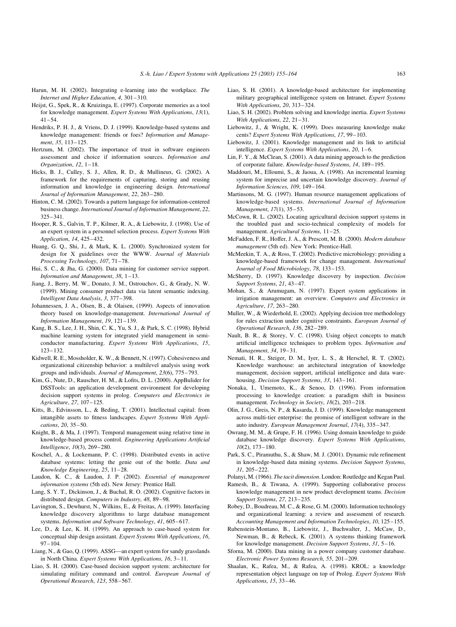- <span id="page-8-0"></span>Harun, M. H. (2002). Integrating e-learning into the workplace. The Internet and Higher Education, 4, 301–310.
- Heijst, G., Spek, R., & Kruizinga, E. (1997). Corporate memories as a tool for knowledge management. Expert Systems With Applications, 13(1), 41–54.
- Hendriks, P. H. J., & Vriens, D. J. (1999). Knowledge-based systems and knowledge management: friends or foes? Information and Management, 35, 113–125.
- Hertzum, M. (2002). The importance of trust in software engineers assessment and choice if information sources. Information and Organization, 12, 1–18.
- Hicks, B. J., Culley, S. J., Allen, R. D., & Mullineux, G. (2002). A framework for the requirements of capturing, storing and reusing information and knowledge in engineering design. International Journal of Information Management, 22, 263–280.
- Hinton, C. M. (2002). Towards a pattern language for information-centered business change. International Journal of Information Management, 22, 325–341.
- Hooper, R. S., Galvin, T. P., Kilmer, R. A., & Liebowitz, J. (1998). Use of an expert system in a personnel selection process. Expert Systems With Application, 14, 425–432.
- Huang, G. Q., Shi, J., & Mark, K. L. (2000). Synchronized system for design for X guidelines over the WWW. Journal of Materials Processing Technology, 107, 71–78.
- Hui, S. C., & Jha, G. (2000). Data mining for customer service support. Information and Management, 38, 1–13.
- Jiang, J., Berry, M. W., Donato, J. M., Ostrouchov, G., & Grady, N. W. (1999). Mining consumer product data via latent semantic indexing. Intelligent Data Analysis, 3, 377–398.
- Johannessen, J. A., Olsen, B., & Olaisen, (1999). Aspects of innovation theory based on knowledge-management. International Journal of Information Management, 19, 121–139.
- Kang, B. S., Lee, J. H., Shin, C. K., Yu, S. J., & Park, S. C. (1998). Hybrid machine learning system for integrated yield management in semiconductor manufacturing. Expert Systems With Applications, 15, 123–132.
- Kidwell, R. E., Mossholder, K. W., & Bennett, N. (1997). Cohesiveness and organizational citizenship behavior: a multilevel analysis using work groups and individuals. Journal of Management, 23(6), 775-793.
- Kim, G., Nute, D., Rauscher, H. M., & Lofits, D. L. (2000). AppBulider for DSSTools: an application development environment for developing decision support systems in prolog. Computers and Electronics in Agriculture, 27, 107–125.
- Kitts, B., Edvinsson, L., & Beding, T. (2001). Intellectual capital: from intangible assets to fitness landscapes. Expert Systems With Applications, 20, 35–50.
- Knight, B., & Ma, J. (1997). Temporal management using relative time in knowledge-based process control. Engineering Applications Artificial Intelligence, 10(3), 269–280.
- Koschel, A., & Lockemann, P. C. (1998). Distributed events in active database systems: letting the genie out of the bottle. Data and Knowledge Engineering, 25, 11–28.
- Laudon, K. C., & Laudon, J. P. (2002). Essential of management information systems (5th ed). New Jersey: Prentice Hall.
- Lang, S. Y. T., Dickinson, J., & Buchal, R. O. (2002). Cognitive factors in distributed design. Computers in Industry, 48, 89–98.
- Lavington, S., Dewhurst, N., Wilkins, E., & Freitas, A. (1999). Interfacing knowledge discovery algorithms to large database management systems. Information and Software Technology, 41, 605-617.
- Lee, D., & Lee, K. H. (1999). An approach to case-based system for conceptual ship design assistant. Expert Systems With Applications, 16, 97–104.
- Liang, N., & Gao, Q. (1999). ASSG—an expert system for sandy grasslands in North China. Expert Systems With Applications, 16, 3–11.
- Liao, S. H. (2000). Case-based decision support system: architecture for simulating military command and control. European Journal of Operational Research, 123, 558–567.
- Liao, S. H. (2001). A knowledge-based architecture for implementing military geographical intelligence system on Intranet. Expert Systems With Applications, 20, 313–324.
- Liao, S. H. (2002). Problem solving and knowledge inertia. Expert Systems With Applications, 22, 21-31.
- Liebowitz, J., & Wright, K. (1999). Does measuring knowledge make cents? Expert Systems With Applications, 17, 99–103.
- Liebowitz, J. (2001). Knowledge management and its link to artificial intelligence. Expert Systems With Applications, 20, 1–6.
- Lin, F. Y., & McClean, S. (2001). A data mining approach to the prediction of corporate failure. Knowledge-based Systems, 14, 189–195.
- Maddouri, M., Elloumi, S., & Jaoua, A. (1998). An incremental learning system for imprecise and uncertain knowledge discovery. Journal of Information Sciences, 109, 149–164.
- Martinsons, M. G. (1997). Human resource management applications of knowledge-based systems. International Journal of Information Management, 17(1), 35–53.
- McCown, R. L. (2002). Locating agricultural decision support systems in the troubled past and socio-technical complexity of models for management. Agricultural Systems, 11–25.
- McFadden, F. R., Hoffer, J. A., & Prescott, M. B. (2000). Modern database management (5th ed). New York: Prentice-Hall.
- McMeekin, T. A., & Ross, T. (2002). Predictive microbiology: providing a knowledge-based framework for change management. International Journal of Food Microbiology, 78, 133–153.
- McSherry, D. (1997). Knowledge discovery by inspection. Decision Support Systems, 21, 43–47.
- Mohan, S., & Arumugam, N. (1997). Expert system applications in irrigation management: an overview. Computers and Electronics in Agriculture, 17, 263–280.
- Muller, W., & Wiederhold, E. (2002). Applying decision tree methodology for rules extraction under cognitive constraints. European Journal of Operational Research, 136, 282–289.
- Nault, B. R., & Storey, V. C. (1998). Using object concepts to match artificial intelligence techniques to problem types. Information and Management, 34, 19–31.
- Nemati, H. R., Steiger, D. M., Iyer, L. S., & Herschel, R. T. (2002). Knowledge warehouse: an architectural integration of knowledge management, decision support, artificial intelligence and data warehousing. Decision Support Systems, 33, 143–161.
- Nonaka, I., Umemoto, K., & Senoo, D. (1996). From information processing to knowledge creation: a paradigm shift in business management. Technology in Society, 18(2), 203–218.
- Olin, J. G., Greis, N. P., & Kasarda, J. D. (1999). Knowledge management across multi-tier enterprise: the promise of intelligent software in the auto industry. European Management Journal, 17(4), 335–347.
- Owrang, M. M., & Grupe, F. H. (1996). Using domain knowledge to guide database knowledge discovery. Expert Systems With Applications, 10(2), 173–180.
- Park, S. C., Piramuthu, S., & Shaw, M. J. (2001). Dynamic rule refinement in knowledge-based data mining systems. Decision Support Systems, 31, 205–222.
- Polanyi, M. (1966). The tacit dimension. London: Routledge and Kegan Paul.
- Ramesh, B., & Tiwana, A. (1999). Supporting collaborative process knowledge management in new product development teams. Decision Support Systems, 27, 213–235.
- Robey, D., Boudreau, M. C., & Rose, G. M. (2000). Information technology and organizational learning: a review and assessment of research. Accounting Management and Information Technologies, 10, 125–155.
- Rubenstein-Montano, B., Liebowitz, J., Buchwalter, J., McCaw, D., Newman, B., & Rebeck, K. (2001). A systems thinking framework for knowledge management. Decision Support Systems, 31, 5–16.
- Sforna, M. (2000). Data mining in a power company customer database. Electronic Power Systems Research, 55, 201–209.
- Shaalan, K., Rafea, M., & Rafea, A. (1998). KROL: a knowledge representation object language on top of Prolog. Expert Systems With Applications, 15, 33–46.